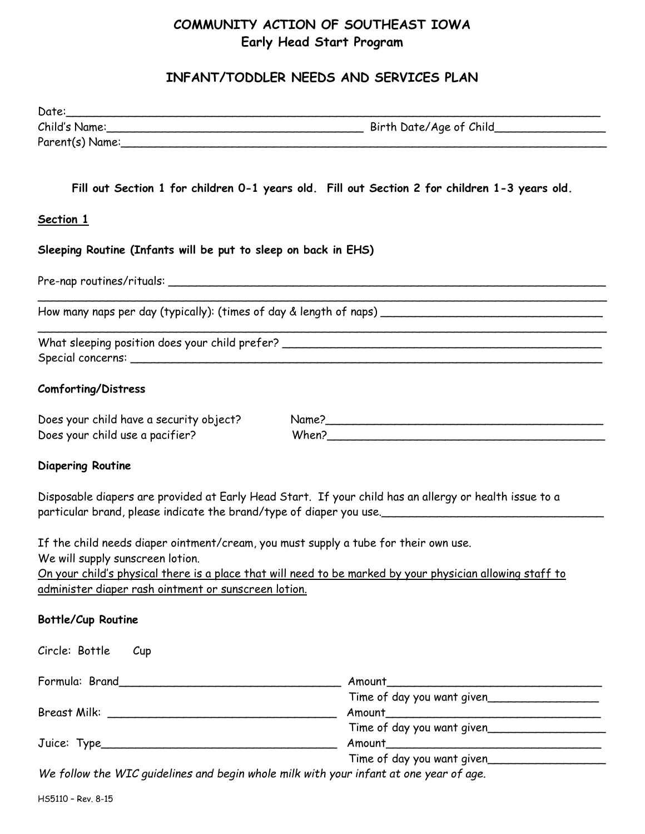# **COMMUNITY ACTION OF SOUTHEAST IOWA Early Head Start Program**

## **INFANT/TODDLER NEEDS AND SERVICES PLAN**

| Date:                                                                                                                   |                                                                                                                                                                               |
|-------------------------------------------------------------------------------------------------------------------------|-------------------------------------------------------------------------------------------------------------------------------------------------------------------------------|
|                                                                                                                         |                                                                                                                                                                               |
|                                                                                                                         |                                                                                                                                                                               |
|                                                                                                                         |                                                                                                                                                                               |
|                                                                                                                         | Fill out Section 1 for children 0-1 years old. Fill out Section 2 for children 1-3 years old.                                                                                 |
| <b>Section 1</b>                                                                                                        |                                                                                                                                                                               |
| Sleeping Routine (Infants will be put to sleep on back in EHS)                                                          |                                                                                                                                                                               |
|                                                                                                                         |                                                                                                                                                                               |
|                                                                                                                         |                                                                                                                                                                               |
|                                                                                                                         |                                                                                                                                                                               |
| <b>Comforting/Distress</b>                                                                                              |                                                                                                                                                                               |
| Does your child have a security object?<br>Does your child use a pacifier?                                              | When?                                                                                                                                                                         |
| <b>Diapering Routine</b>                                                                                                |                                                                                                                                                                               |
|                                                                                                                         | Disposable diapers are provided at Early Head Start. If your child has an allergy or health issue to a<br>particular brand, please indicate the brand/type of diaper you use. |
| If the child needs diaper ointment/cream, you must supply a tube for their own use.<br>We will supply sunscreen lotion. |                                                                                                                                                                               |
| administer diaper rash ointment or sunscreen lotion.                                                                    | On your child's physical there is a place that will need to be marked by your physician allowing staff to                                                                     |
| <b>Bottle/Cup Routine</b>                                                                                               |                                                                                                                                                                               |
| Circle: Bottle<br>$C$ up                                                                                                |                                                                                                                                                                               |
|                                                                                                                         |                                                                                                                                                                               |
|                                                                                                                         | Time of day you want given                                                                                                                                                    |
|                                                                                                                         | Time of day you want given                                                                                                                                                    |
|                                                                                                                         | Time of day you want given                                                                                                                                                    |
|                                                                                                                         | We follow the WIC guidelines and begin whole milk with your infant at one year of age.                                                                                        |

HS5110 – Rev. 8-15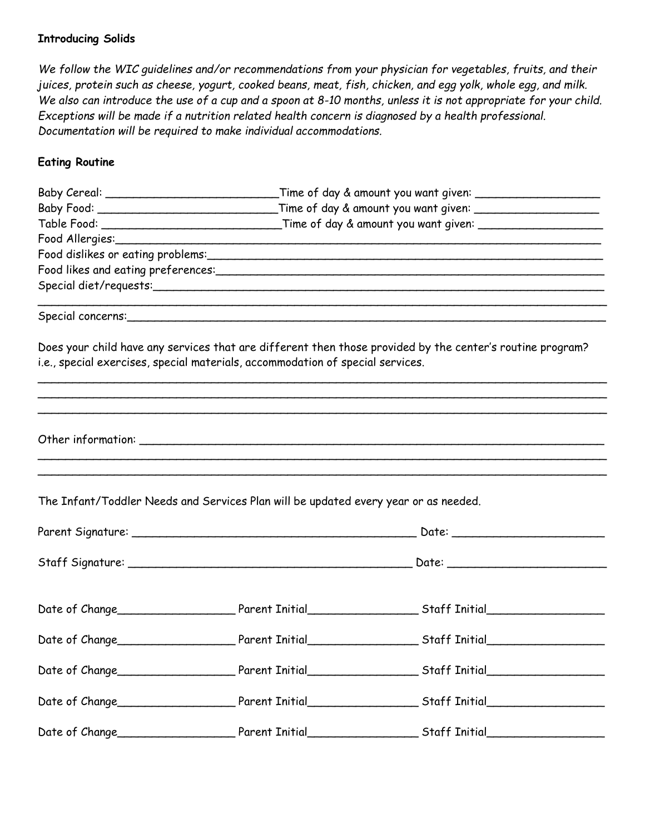#### **Introducing Solids**

*We follow the WIC guidelines and/or recommendations from your physician for vegetables, fruits, and their juices, protein such as cheese, yogurt, cooked beans, meat, fish, chicken, and egg yolk, whole egg, and milk. We also can introduce the use of a cup and a spoon at 8-10 months, unless it is not appropriate for your child. Exceptions will be made if a nutrition related health concern is diagnosed by a health professional. Documentation will be required to make individual accommodations.*

#### **Eating Routine**

|                |                                                                                     | Baby Food: _________________________________Time of day & amount you want given: ___________________                                                                                                                           |  |  |  |
|----------------|-------------------------------------------------------------------------------------|--------------------------------------------------------------------------------------------------------------------------------------------------------------------------------------------------------------------------------|--|--|--|
|                |                                                                                     |                                                                                                                                                                                                                                |  |  |  |
|                |                                                                                     |                                                                                                                                                                                                                                |  |  |  |
|                |                                                                                     | Food dislikes or eating problems: express the control of the state of the state of the state of the state of the state of the state of the state of the state of the state of the state of the state of the state of the state |  |  |  |
|                |                                                                                     |                                                                                                                                                                                                                                |  |  |  |
|                |                                                                                     |                                                                                                                                                                                                                                |  |  |  |
|                |                                                                                     |                                                                                                                                                                                                                                |  |  |  |
|                |                                                                                     | Does your child have any services that are different then those provided by the center's routine program?                                                                                                                      |  |  |  |
|                | i.e., special exercises, special materials, accommodation of special services.      |                                                                                                                                                                                                                                |  |  |  |
|                |                                                                                     |                                                                                                                                                                                                                                |  |  |  |
|                |                                                                                     |                                                                                                                                                                                                                                |  |  |  |
|                |                                                                                     |                                                                                                                                                                                                                                |  |  |  |
|                |                                                                                     |                                                                                                                                                                                                                                |  |  |  |
|                | The Infant/Toddler Needs and Services Plan will be updated every year or as needed. |                                                                                                                                                                                                                                |  |  |  |
|                |                                                                                     |                                                                                                                                                                                                                                |  |  |  |
|                |                                                                                     |                                                                                                                                                                                                                                |  |  |  |
|                |                                                                                     |                                                                                                                                                                                                                                |  |  |  |
|                |                                                                                     |                                                                                                                                                                                                                                |  |  |  |
| Date of Change |                                                                                     |                                                                                                                                                                                                                                |  |  |  |
|                |                                                                                     |                                                                                                                                                                                                                                |  |  |  |
|                |                                                                                     |                                                                                                                                                                                                                                |  |  |  |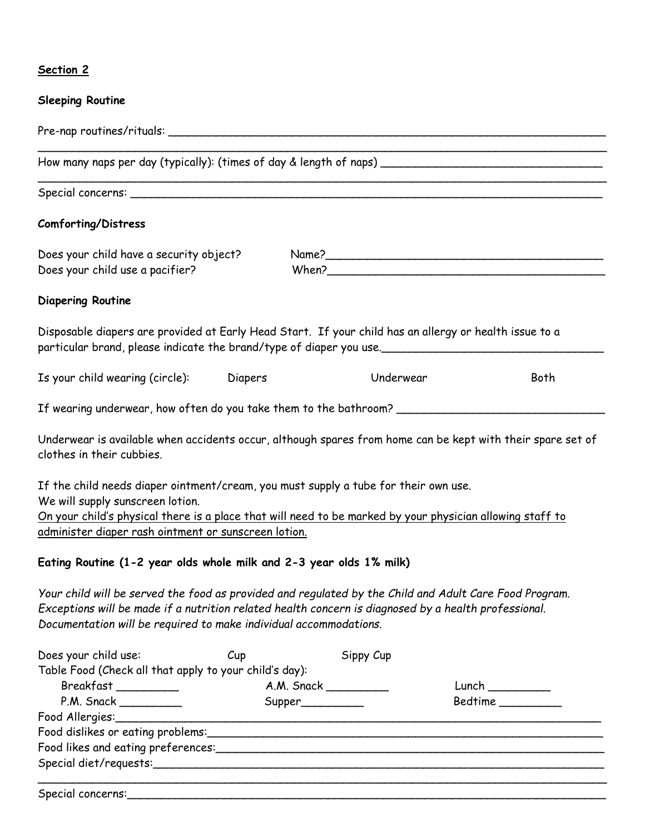### **Section 2**

### **Sleeping Routine**

| Comforting/Distress                                                                                                                                                                                                                                                                          |     |                        |           |         |
|----------------------------------------------------------------------------------------------------------------------------------------------------------------------------------------------------------------------------------------------------------------------------------------------|-----|------------------------|-----------|---------|
| Does your child have a security object?<br>Does your child use a pacifier?                                                                                                                                                                                                                   |     |                        |           |         |
| <b>Diapering Routine</b>                                                                                                                                                                                                                                                                     |     |                        |           |         |
| Disposable diapers are provided at Early Head Start. If your child has an allergy or health issue to a<br>particular brand, please indicate the brand/type of diaper you use.________________________________                                                                                |     |                        |           |         |
| Is your child wearing (circle): Diapers                                                                                                                                                                                                                                                      |     |                        | Underwear | Both    |
| If wearing underwear, how often do you take them to the bathroom? _________________________________                                                                                                                                                                                          |     |                        |           |         |
| Underwear is available when accidents occur, although spares from home can be kept with their spare set of<br>clothes in their cubbies.                                                                                                                                                      |     |                        |           |         |
| If the child needs diaper ointment/cream, you must supply a tube for their own use.<br>We will supply sunscreen lotion.<br>On your child's physical there is a place that will need to be marked by your physician allowing staff to<br>administer diaper rash ointment or sunscreen lotion. |     |                        |           |         |
| Eating Routine (1-2 year olds whole milk and 2-3 year olds 1% milk)                                                                                                                                                                                                                          |     |                        |           |         |
| Your child will be served the food as provided and regulated by the Child and Adult Care Food Program.<br>Exceptions will be made if a nutrition related health concern is diagnosed by a health professional.<br>Documentation will be required to make individual accommodations.          |     |                        |           |         |
| Does your child use:                                                                                                                                                                                                                                                                         | Cup | Sippy Cup              |           |         |
| Table Food (Check all that apply to your child's day):                                                                                                                                                                                                                                       |     |                        |           |         |
| Breakfast_________                                                                                                                                                                                                                                                                           |     | A.M. Snack ___________ |           | Lunch   |
| $P.M.$ Snack $\_\_\_\_\_\_\_\_\_\_\_\_$                                                                                                                                                                                                                                                      |     |                        |           | Bedtime |
|                                                                                                                                                                                                                                                                                              |     |                        |           |         |
|                                                                                                                                                                                                                                                                                              |     |                        |           |         |
|                                                                                                                                                                                                                                                                                              |     |                        |           |         |
|                                                                                                                                                                                                                                                                                              |     |                        |           |         |

\_\_\_\_\_\_\_\_\_\_\_\_\_\_\_\_\_\_\_\_\_\_\_\_\_\_\_\_\_\_\_\_\_\_\_\_\_\_\_\_\_\_\_\_\_\_\_\_\_\_\_\_\_\_\_\_\_\_\_\_\_\_\_\_\_\_\_\_\_\_\_\_\_\_\_\_\_\_\_\_\_\_

Special concerns: